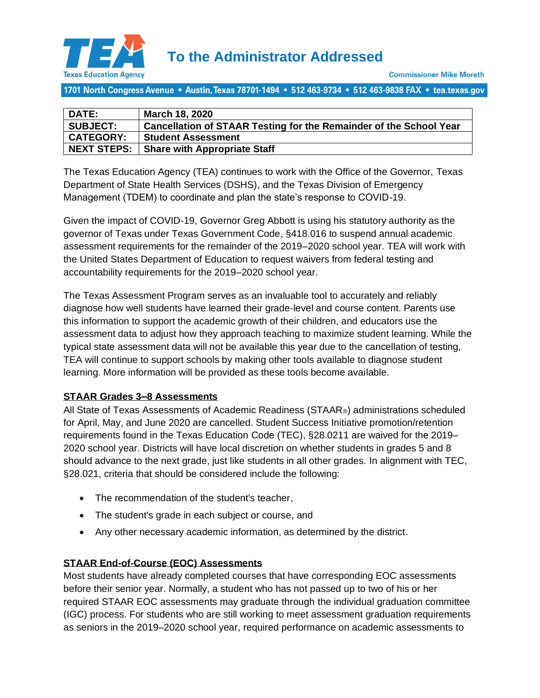

1701 North Congress Avenue • Austin, Texas 78701-1494 • 512 463-9734 • 512 463-9838 FAX • tea.texas.gov

| <b>DATE:</b>       | March 18, 2020                                                     |
|--------------------|--------------------------------------------------------------------|
| <b>SUBJECT:</b>    | Cancellation of STAAR Testing for the Remainder of the School Year |
| <b>CATEGORY:</b>   | <b>Student Assessment</b>                                          |
| <b>NEXT STEPS:</b> | <b>Share with Appropriate Staff</b>                                |

The Texas Education Agency (TEA) continues to work with the Office of the Governor, Texas Department of State Health Services (DSHS), and the Texas Division of Emergency Management (TDEM) to coordinate and plan the state's response to COVID-19.

Given the impact of COVID-19, Governor Greg Abbott is using his statutory authority as the governor of Texas under Texas Government Code, §418.016 to suspend annual academic assessment requirements for the remainder of the 2019–2020 school year. TEA will work with the United States Department of Education to request waivers from federal testing and accountability requirements for the 2019–2020 school year.

The Texas Assessment Program serves as an invaluable tool to accurately and reliably diagnose how well students have learned their grade-level and course content. Parents use this information to support the academic growth of their children, and educators use the assessment data to adjust how they approach teaching to maximize student learning. While the typical state assessment data will not be available this year due to the cancellation of testing, TEA will continue to support schools by making other tools available to diagnose student learning. More information will be provided as these tools become available.

## **STAAR Grades 3–8 Assessments**

All State of Texas Assessments of Academic Readiness (STAAR®) administrations scheduled for April, May, and June 2020 are cancelled. Student Success Initiative promotion/retention requirements found in the Texas Education Code (TEC), §28.0211 are waived for the 2019– 2020 school year. Districts will have local discretion on whether students in grades 5 and 8 should advance to the next grade, just like students in all other grades. In alignment with TEC, §28.021, criteria that should be considered include the following:

- The recommendation of the student's teacher,
- The student's grade in each subject or course, and
- Any other necessary academic information, as determined by the district.

# **STAAR End-of-Course (EOC) Assessments**

Most students have already completed courses that have corresponding EOC assessments before their senior year. Normally, a student who has not passed up to two of his or her required STAAR EOC assessments may graduate through the individual graduation committee (IGC) process. For students who are still working to meet assessment graduation requirements as seniors in the 2019–2020 school year, required performance on academic assessments to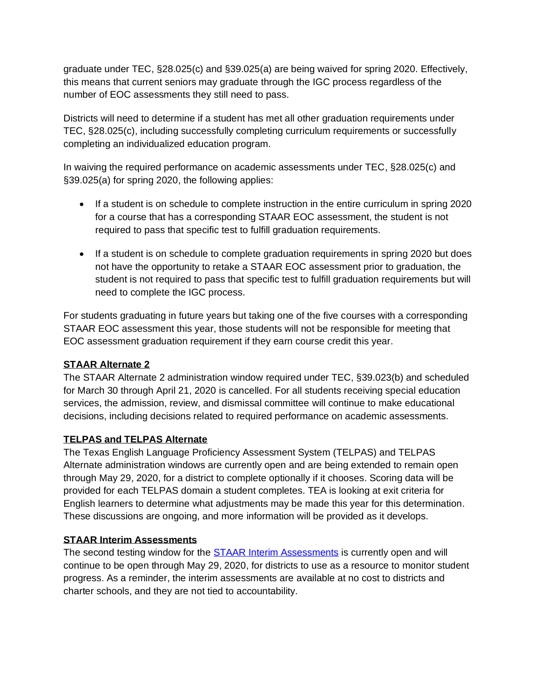graduate under TEC, §28.025(c) and §39.025(a) are being waived for spring 2020. Effectively, this means that current seniors may graduate through the IGC process regardless of the number of EOC assessments they still need to pass.

Districts will need to determine if a student has met all other graduation requirements under TEC, §28.025(c), including successfully completing curriculum requirements or successfully completing an individualized education program.

In waiving the required performance on academic assessments under TEC, §28.025(c) and §39.025(a) for spring 2020, the following applies:

- If a student is on schedule to complete instruction in the entire curriculum in spring 2020 for a course that has a corresponding STAAR EOC assessment, the student is not required to pass that specific test to fulfill graduation requirements.
- If a student is on schedule to complete graduation requirements in spring 2020 but does not have the opportunity to retake a STAAR EOC assessment prior to graduation, the student is not required to pass that specific test to fulfill graduation requirements but will need to complete the IGC process.

For students graduating in future years but taking one of the five courses with a corresponding STAAR EOC assessment this year, those students will not be responsible for meeting that EOC assessment graduation requirement if they earn course credit this year.

# **STAAR Alternate 2**

The STAAR Alternate 2 administration window required under TEC, §39.023(b) and scheduled for March 30 through April 21, 2020 is cancelled. For all students receiving special education services, the admission, review, and dismissal committee will continue to make educational decisions, including decisions related to required performance on academic assessments.

# **TELPAS and TELPAS Alternate**

The Texas English Language Proficiency Assessment System (TELPAS) and TELPAS Alternate administration windows are currently open and are being extended to remain open through May 29, 2020, for a district to complete optionally if it chooses. Scoring data will be provided for each TELPAS domain a student completes. TEA is looking at exit criteria for English learners to determine what adjustments may be made this year for this determination. These discussions are ongoing, and more information will be provided as it develops.

## **STAAR Interim Assessments**

The second testing window for the **STAAR Interim Assessments** is currently open and will continue to be open through May 29, 2020, for districts to use as a resource to monitor student progress. As a reminder, the interim assessments are available at no cost to districts and charter schools, and they are not tied to accountability.